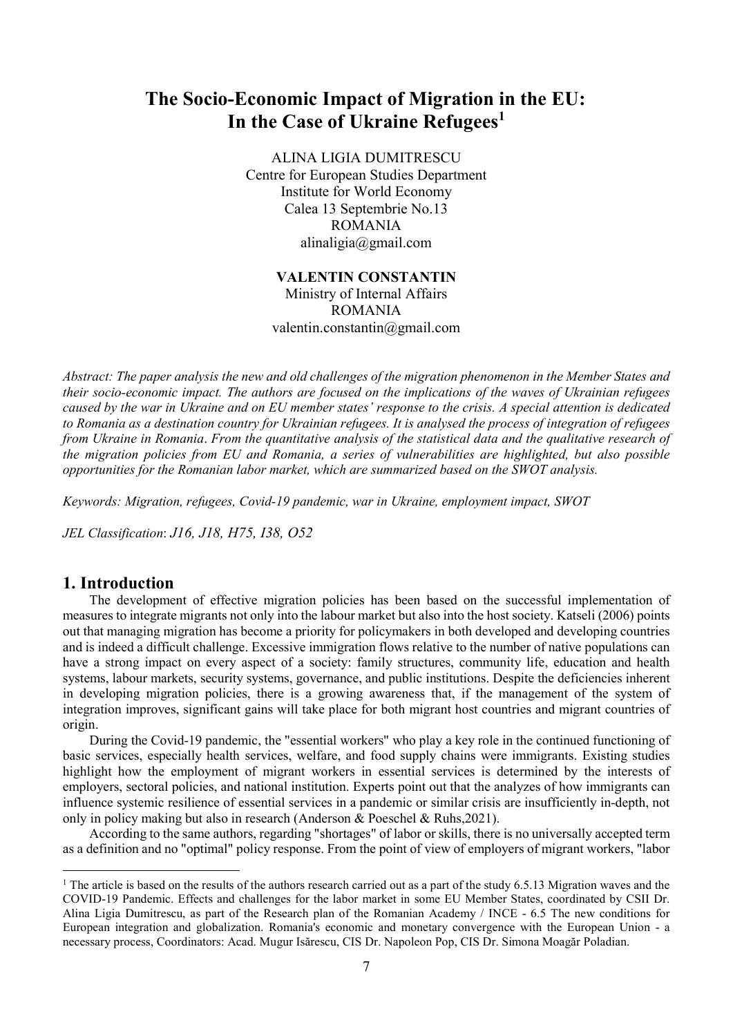# The Socio-Economic Impact of Migration in the EU: In the Case of Ukraine Refugees<sup>1</sup>

ALINA LIGIA DUMITRESCU Centre for European Studies Department Institute for World Economy Calea 13 Septembrie No.13 ROMANIA alinaligia@gmail.com

## VALENTIN CONSTANTIN

Ministry of Internal Affairs ROMANIA valentin.constantin@gmail.com

Abstract: The paper analysis the new and old challenges of the migration phenomenon in the Member States and their socio-economic impact. The authors are focused on the implications of the waves of Ukrainian refugees caused by the war in Ukraine and on EU member states' response to the crisis. A special attention is dedicated to Romania as a destination country for Ukrainian refugees. It is analysed the process of integration of refugees from Ukraine in Romania. From the quantitative analysis of the statistical data and the qualitative research of the migration policies from EU and Romania, a series of vulnerabilities are highlighted, but also possible opportunities for the Romanian labor market, which are summarized based on the SWOT analysis.

Keywords: Migration, refugees, Covid-19 pandemic, war in Ukraine, employment impact, SWOT

JEL Classification: J16, J18, H75, I38, O52

### 1. Introduction

-

The development of effective migration policies has been based on the successful implementation of measures to integrate migrants not only into the labour market but also into the host society. Katseli (2006) points out that managing migration has become a priority for policymakers in both developed and developing countries and is indeed a difficult challenge. Excessive immigration flows relative to the number of native populations can have a strong impact on every aspect of a society: family structures, community life, education and health systems, labour markets, security systems, governance, and public institutions. Despite the deficiencies inherent in developing migration policies, there is a growing awareness that, if the management of the system of integration improves, significant gains will take place for both migrant host countries and migrant countries of origin.

During the Covid-19 pandemic, the "essential workers" who play a key role in the continued functioning of basic services, especially health services, welfare, and food supply chains were immigrants. Existing studies highlight how the employment of migrant workers in essential services is determined by the interests of employers, sectoral policies, and national institution. Experts point out that the analyzes of how immigrants can influence systemic resilience of essential services in a pandemic or similar crisis are insufficiently in-depth, not only in policy making but also in research (Anderson & Poeschel & Ruhs,2021).

According to the same authors, regarding "shortages" of labor or skills, there is no universally accepted term as a definition and no "optimal" policy response. From the point of view of employers of migrant workers, "labor

<sup>&</sup>lt;sup>1</sup> The article is based on the results of the authors research carried out as a part of the study 6.5.13 Migration waves and the COVID-19 Pandemic. Effects and challenges for the labor market in some EU Member States, coordinated by CSII Dr. Alina Ligia Dumitrescu, as part of the Research plan of the Romanian Academy / INCE - 6.5 The new conditions for European integration and globalization. Romania's economic and monetary convergence with the European Union - a necessary process, Coordinators: Acad. Mugur Isărescu, CIS Dr. Napoleon Pop, CIS Dr. Simona Moagăr Poladian.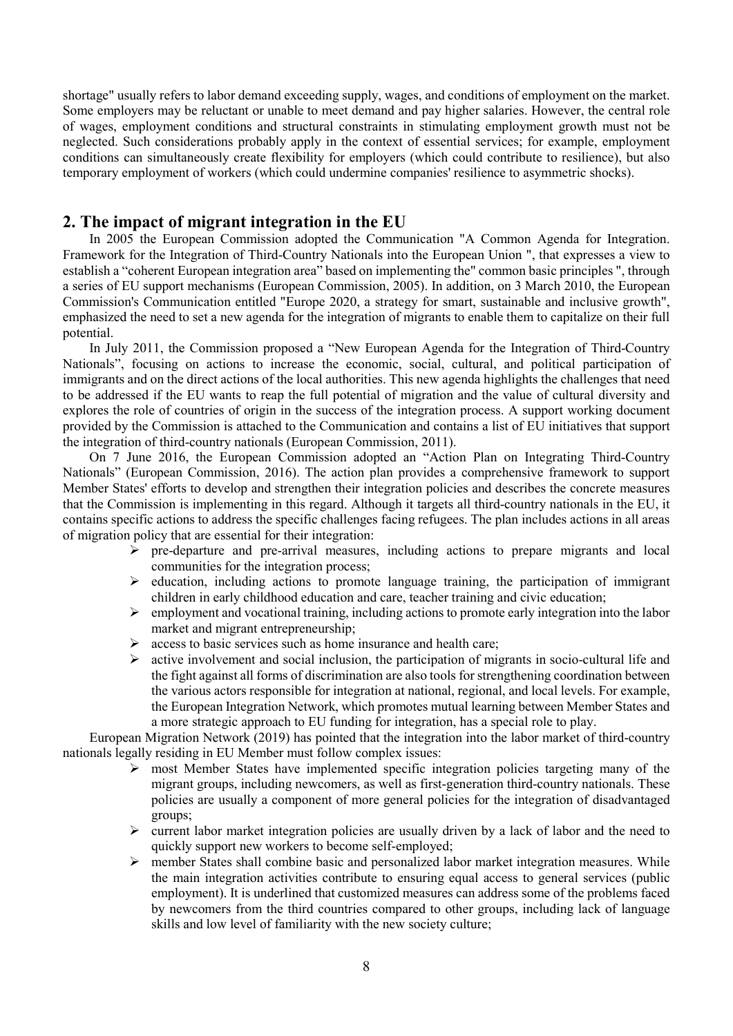shortage" usually refers to labor demand exceeding supply, wages, and conditions of employment on the market. Some employers may be reluctant or unable to meet demand and pay higher salaries. However, the central role of wages, employment conditions and structural constraints in stimulating employment growth must not be neglected. Such considerations probably apply in the context of essential services; for example, employment conditions can simultaneously create flexibility for employers (which could contribute to resilience), but also temporary employment of workers (which could undermine companies' resilience to asymmetric shocks).

## 2. The impact of migrant integration in the EU

In 2005 the European Commission adopted the Communication "A Common Agenda for Integration. Framework for the Integration of Third-Country Nationals into the European Union ", that expresses a view to establish a "coherent European integration area" based on implementing the" common basic principles ", through a series of EU support mechanisms (European Commission, 2005). In addition, on 3 March 2010, the European Commission's Communication entitled "Europe 2020, a strategy for smart, sustainable and inclusive growth", emphasized the need to set a new agenda for the integration of migrants to enable them to capitalize on their full potential.

In July 2011, the Commission proposed a "New European Agenda for the Integration of Third-Country Nationals", focusing on actions to increase the economic, social, cultural, and political participation of immigrants and on the direct actions of the local authorities. This new agenda highlights the challenges that need to be addressed if the EU wants to reap the full potential of migration and the value of cultural diversity and explores the role of countries of origin in the success of the integration process. A support working document provided by the Commission is attached to the Communication and contains a list of EU initiatives that support the integration of third-country nationals (European Commission, 2011).

On 7 June 2016, the European Commission adopted an "Action Plan on Integrating Third-Country Nationals" (European Commission, 2016). The action plan provides a comprehensive framework to support Member States' efforts to develop and strengthen their integration policies and describes the concrete measures that the Commission is implementing in this regard. Although it targets all third-country nationals in the EU, it contains specific actions to address the specific challenges facing refugees. The plan includes actions in all areas of migration policy that are essential for their integration:

- $\triangleright$  pre-departure and pre-arrival measures, including actions to prepare migrants and local communities for the integration process;
- $\triangleright$  education, including actions to promote language training, the participation of immigrant children in early childhood education and care, teacher training and civic education;
- $\triangleright$  employment and vocational training, including actions to promote early integration into the labor market and migrant entrepreneurship:
- $\triangleright$  access to basic services such as home insurance and health care;
- $\triangleright$  active involvement and social inclusion, the participation of migrants in socio-cultural life and the fight against all forms of discrimination are also tools for strengthening coordination between the various actors responsible for integration at national, regional, and local levels. For example, the European Integration Network, which promotes mutual learning between Member States and a more strategic approach to EU funding for integration, has a special role to play.

European Migration Network (2019) has pointed that the integration into the labor market of third-country nationals legally residing in EU Member must follow complex issues:

- $\triangleright$  most Member States have implemented specific integration policies targeting many of the migrant groups, including newcomers, as well as first-generation third-country nationals. These policies are usually a component of more general policies for the integration of disadvantaged groups;
- $\triangleright$  current labor market integration policies are usually driven by a lack of labor and the need to quickly support new workers to become self-employed;
- member States shall combine basic and personalized labor market integration measures. While the main integration activities contribute to ensuring equal access to general services (public employment). It is underlined that customized measures can address some of the problems faced by newcomers from the third countries compared to other groups, including lack of language skills and low level of familiarity with the new society culture;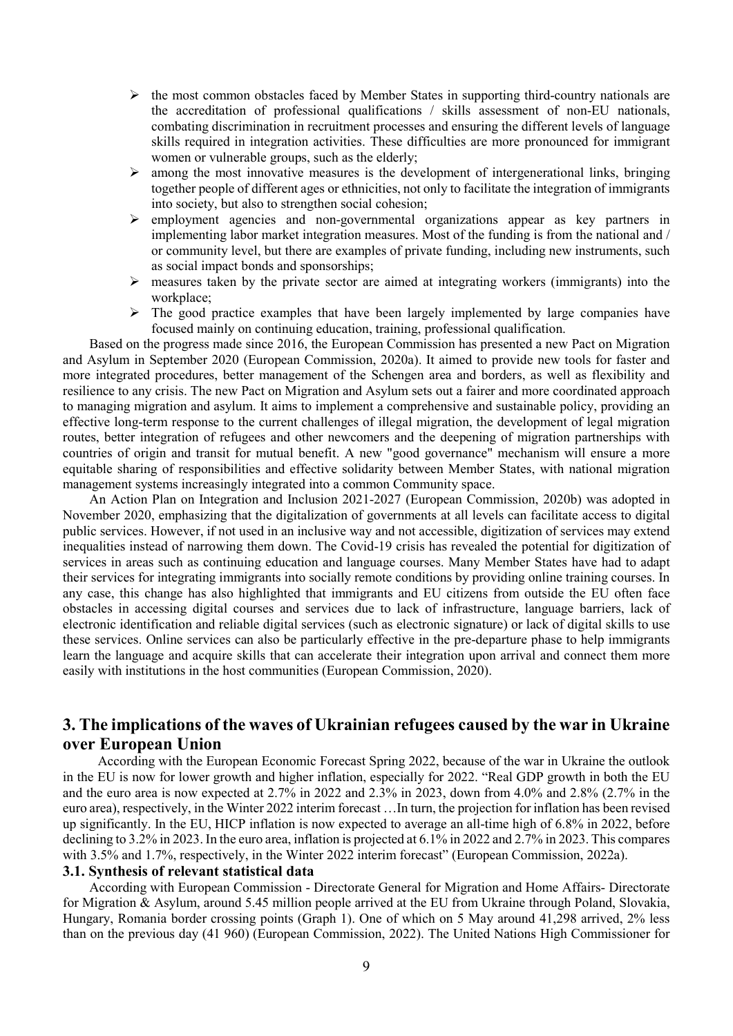- $\triangleright$  the most common obstacles faced by Member States in supporting third-country nationals are the accreditation of professional qualifications / skills assessment of non-EU nationals, combating discrimination in recruitment processes and ensuring the different levels of language skills required in integration activities. These difficulties are more pronounced for immigrant women or vulnerable groups, such as the elderly;
- $\triangleright$  among the most innovative measures is the development of intergenerational links, bringing together people of different ages or ethnicities, not only to facilitate the integration of immigrants into society, but also to strengthen social cohesion;
- $\triangleright$  employment agencies and non-governmental organizations appear as key partners in implementing labor market integration measures. Most of the funding is from the national and / or community level, but there are examples of private funding, including new instruments, such as social impact bonds and sponsorships;
- $\triangleright$  measures taken by the private sector are aimed at integrating workers (immigrants) into the workplace;
- $\triangleright$  The good practice examples that have been largely implemented by large companies have focused mainly on continuing education, training, professional qualification.

Based on the progress made since 2016, the European Commission has presented a new Pact on Migration and Asylum in September 2020 (European Commission, 2020a). It aimed to provide new tools for faster and more integrated procedures, better management of the Schengen area and borders, as well as flexibility and resilience to any crisis. The new Pact on Migration and Asylum sets out a fairer and more coordinated approach to managing migration and asylum. It aims to implement a comprehensive and sustainable policy, providing an effective long-term response to the current challenges of illegal migration, the development of legal migration routes, better integration of refugees and other newcomers and the deepening of migration partnerships with countries of origin and transit for mutual benefit. A new "good governance" mechanism will ensure a more equitable sharing of responsibilities and effective solidarity between Member States, with national migration management systems increasingly integrated into a common Community space.

An Action Plan on Integration and Inclusion 2021-2027 (European Commission, 2020b) was adopted in November 2020, emphasizing that the digitalization of governments at all levels can facilitate access to digital public services. However, if not used in an inclusive way and not accessible, digitization of services may extend inequalities instead of narrowing them down. The Covid-19 crisis has revealed the potential for digitization of services in areas such as continuing education and language courses. Many Member States have had to adapt their services for integrating immigrants into socially remote conditions by providing online training courses. In any case, this change has also highlighted that immigrants and EU citizens from outside the EU often face obstacles in accessing digital courses and services due to lack of infrastructure, language barriers, lack of electronic identification and reliable digital services (such as electronic signature) or lack of digital skills to use these services. Online services can also be particularly effective in the pre-departure phase to help immigrants learn the language and acquire skills that can accelerate their integration upon arrival and connect them more easily with institutions in the host communities (European Commission, 2020).

## 3. The implications of the waves of Ukrainian refugees caused by the war in Ukraine over European Union

 According with the European Economic Forecast Spring 2022, because of the war in Ukraine the outlook in the EU is now for lower growth and higher inflation, especially for 2022. "Real GDP growth in both the EU and the euro area is now expected at 2.7% in 2022 and 2.3% in 2023, down from 4.0% and 2.8% (2.7% in the euro area), respectively, in the Winter 2022 interim forecast …In turn, the projection for inflation has been revised up significantly. In the EU, HICP inflation is now expected to average an all-time high of 6.8% in 2022, before declining to 3.2% in 2023. In the euro area, inflation is projected at 6.1% in 2022 and 2.7% in 2023. This compares with 3.5% and 1.7%, respectively, in the Winter 2022 interim forecast" (European Commission, 2022a).

#### 3.1. Synthesis of relevant statistical data

According with European Commission - Directorate General for Migration and Home Affairs- Directorate for Migration & Asylum, around 5.45 million people arrived at the EU from Ukraine through Poland, Slovakia, Hungary, Romania border crossing points (Graph 1). One of which on 5 May around 41,298 arrived, 2% less than on the previous day (41 960) (European Commission, 2022). The United Nations High Commissioner for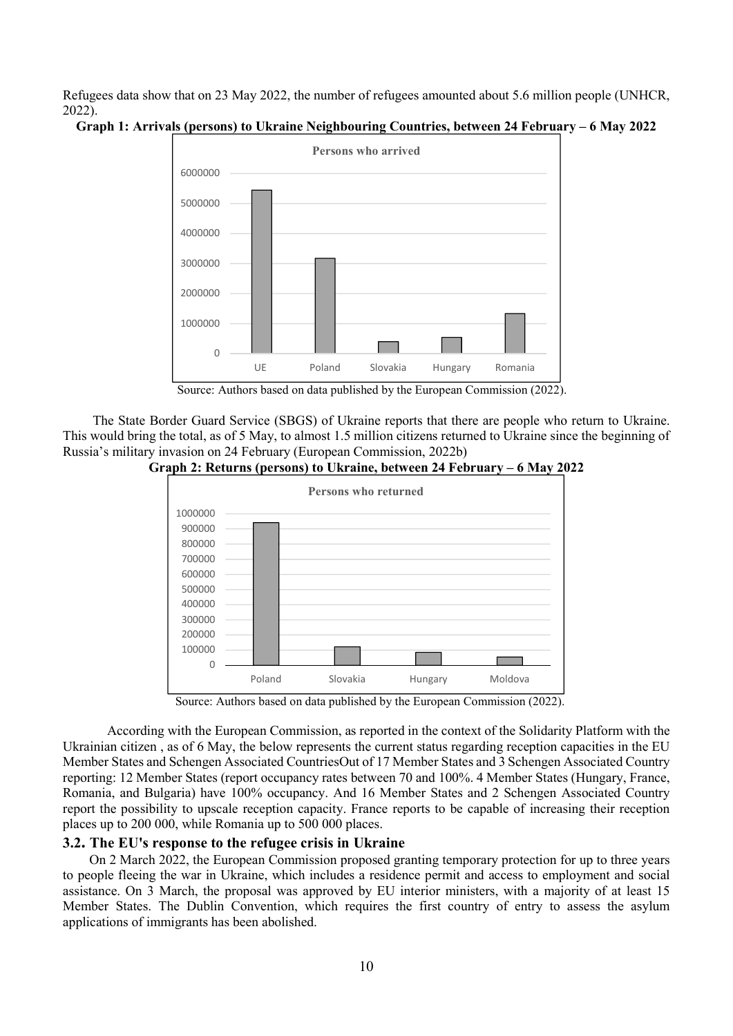Refugees data show that on 23 May 2022, the number of refugees amounted about 5.6 million people (UNHCR, 2022).





Source: Authors based on data published by the European Commission (2022).

 The State Border Guard Service (SBGS) of Ukraine reports that there are people who return to Ukraine. This would bring the total, as of 5 May, to almost 1.5 million citizens returned to Ukraine since the beginning of Russia's military invasion on 24 February (European Commission, 2022b)

![](_page_3_Figure_5.jpeg)

![](_page_3_Figure_6.jpeg)

Source: Authors based on data published by the European Commission (2022).

According with the European Commission, as reported in the context of the Solidarity Platform with the Ukrainian citizen , as of 6 May, the below represents the current status regarding reception capacities in the EU Member States and Schengen Associated CountriesOut of 17 Member States and 3 Schengen Associated Country reporting: 12 Member States (report occupancy rates between 70 and 100%. 4 Member States (Hungary, France, Romania, and Bulgaria) have 100% occupancy. And 16 Member States and 2 Schengen Associated Country report the possibility to upscale reception capacity. France reports to be capable of increasing their reception places up to 200 000, while Romania up to 500 000 places.

### 3.2. The EU's response to the refugee crisis in Ukraine

On 2 March 2022, the European Commission proposed granting temporary protection for up to three years to people fleeing the war in Ukraine, which includes a residence permit and access to employment and social assistance. On 3 March, the proposal was approved by EU interior ministers, with a majority of at least 15 Member States. The Dublin Convention, which requires the first country of entry to assess the asylum applications of immigrants has been abolished.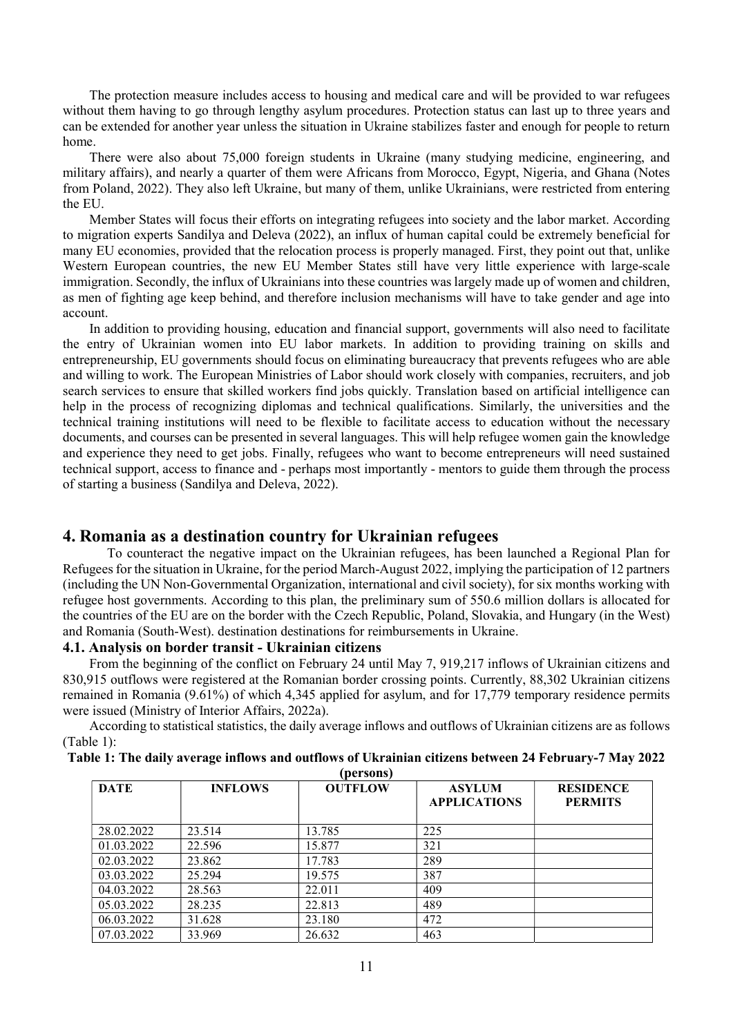The protection measure includes access to housing and medical care and will be provided to war refugees without them having to go through lengthy asylum procedures. Protection status can last up to three years and can be extended for another year unless the situation in Ukraine stabilizes faster and enough for people to return home.

There were also about 75,000 foreign students in Ukraine (many studying medicine, engineering, and military affairs), and nearly a quarter of them were Africans from Morocco, Egypt, Nigeria, and Ghana (Notes from Poland, 2022). They also left Ukraine, but many of them, unlike Ukrainians, were restricted from entering the EU.

Member States will focus their efforts on integrating refugees into society and the labor market. According to migration experts Sandilya and Deleva (2022), an influx of human capital could be extremely beneficial for many EU economies, provided that the relocation process is properly managed. First, they point out that, unlike Western European countries, the new EU Member States still have very little experience with large-scale immigration. Secondly, the influx of Ukrainians into these countries was largely made up of women and children, as men of fighting age keep behind, and therefore inclusion mechanisms will have to take gender and age into account.

In addition to providing housing, education and financial support, governments will also need to facilitate the entry of Ukrainian women into EU labor markets. In addition to providing training on skills and entrepreneurship, EU governments should focus on eliminating bureaucracy that prevents refugees who are able and willing to work. The European Ministries of Labor should work closely with companies, recruiters, and job search services to ensure that skilled workers find jobs quickly. Translation based on artificial intelligence can help in the process of recognizing diplomas and technical qualifications. Similarly, the universities and the technical training institutions will need to be flexible to facilitate access to education without the necessary documents, and courses can be presented in several languages. This will help refugee women gain the knowledge and experience they need to get jobs. Finally, refugees who want to become entrepreneurs will need sustained technical support, access to finance and - perhaps most importantly - mentors to guide them through the process of starting a business (Sandilya and Deleva, 2022).

## 4. Romania as a destination country for Ukrainian refugees

To counteract the negative impact on the Ukrainian refugees, has been launched a Regional Plan for Refugees for the situation in Ukraine, for the period March-August 2022, implying the participation of 12 partners (including the UN Non-Governmental Organization, international and civil society), for six months working with refugee host governments. According to this plan, the preliminary sum of 550.6 million dollars is allocated for the countries of the EU are on the border with the Czech Republic, Poland, Slovakia, and Hungary (in the West) and Romania (South-West). destination destinations for reimbursements in Ukraine.

#### 4.1. Analysis on border transit - Ukrainian citizens

From the beginning of the conflict on February 24 until May 7, 919,217 inflows of Ukrainian citizens and 830,915 outflows were registered at the Romanian border crossing points. Currently, 88,302 Ukrainian citizens remained in Romania (9.61%) of which 4,345 applied for asylum, and for 17,779 temporary residence permits were issued (Ministry of Interior Affairs, 2022a).

According to statistical statistics, the daily average inflows and outflows of Ukrainian citizens are as follows (Table 1):

| Table 1: The daily average inflows and outflows of Ukrainian citizens between 24 February-7 May 2022 |
|------------------------------------------------------------------------------------------------------|
| (noncone)                                                                                            |

| <b>DATE</b> | <b>INFLOWS</b> | <b>OUTFLOW</b> | <b>ASYLUM</b><br><b>APPLICATIONS</b> | <b>RESIDENCE</b><br><b>PERMITS</b> |
|-------------|----------------|----------------|--------------------------------------|------------------------------------|
| 28.02.2022  | 23.514         | 13.785         | 225                                  |                                    |
| 01.03.2022  | 22.596         | 15.877         | 321                                  |                                    |
| 02.03.2022  | 23.862         | 17.783         | 289                                  |                                    |
| 03.03.2022  | 25.294         | 19.575         | 387                                  |                                    |
| 04.03.2022  | 28.563         | 22.011         | 409                                  |                                    |
| 05.03.2022  | 28.235         | 22.813         | 489                                  |                                    |
| 06.03.2022  | 31.628         | 23.180         | 472                                  |                                    |
| 07.03.2022  | 33.969         | 26.632         | 463                                  |                                    |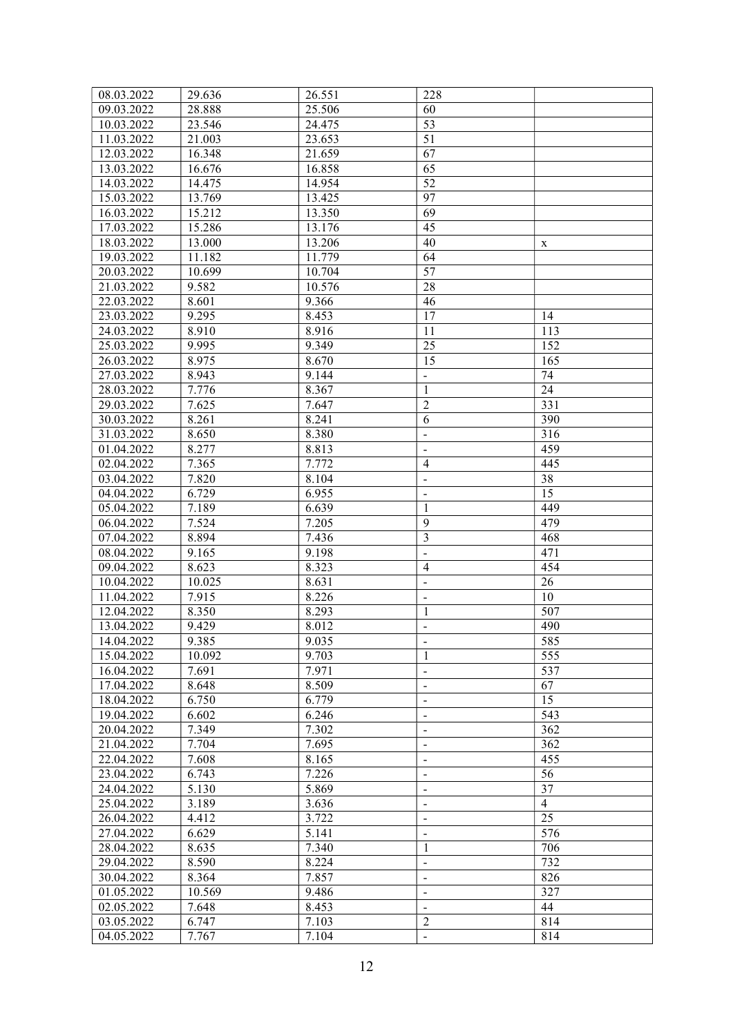| 08.03.2022 | 29.636 | 26.551 | 228                      |                |
|------------|--------|--------|--------------------------|----------------|
| 09.03.2022 | 28.888 | 25.506 | 60                       |                |
| 10.03.2022 | 23.546 | 24.475 | 53                       |                |
| 11.03.2022 | 21.003 | 23.653 | 51                       |                |
| 12.03.2022 | 16.348 | 21.659 | 67                       |                |
| 13.03.2022 | 16.676 | 16.858 | 65                       |                |
| 14.03.2022 | 14.475 | 14.954 | 52                       |                |
| 15.03.2022 | 13.769 | 13.425 | 97                       |                |
| 16.03.2022 | 15.212 | 13.350 | 69                       |                |
| 17.03.2022 | 15.286 | 13.176 | 45                       |                |
| 18.03.2022 | 13.000 | 13.206 | 40                       | X              |
| 19.03.2022 | 11.182 | 11.779 | 64                       |                |
| 20.03.2022 | 10.699 | 10.704 | 57                       |                |
| 21.03.2022 | 9.582  | 10.576 | 28                       |                |
| 22.03.2022 | 8.601  | 9.366  | 46                       |                |
| 23.03.2022 | 9.295  | 8.453  | 17                       | 14             |
| 24.03.2022 | 8.910  | 8.916  | 11                       | 113            |
| 25.03.2022 | 9.995  | 9.349  | 25                       | 152            |
| 26.03.2022 | 8.975  | 8.670  | 15                       | 165            |
| 27.03.2022 | 8.943  | 9.144  | $\blacksquare$           | 74             |
| 28.03.2022 | 7.776  | 8.367  | $\mathbf{1}$             | 24             |
| 29.03.2022 | 7.625  | 7.647  | $\overline{2}$           | 331            |
| 30.03.2022 | 8.261  | 8.241  | 6                        | 390            |
| 31.03.2022 | 8.650  | 8.380  | $\blacksquare$           | 316            |
| 01.04.2022 | 8.277  | 8.813  | $\blacksquare$           | 459            |
| 02.04.2022 | 7.365  | 7.772  | $\overline{4}$           | 445            |
| 03.04.2022 | 7.820  | 8.104  | $\overline{\phantom{0}}$ | 38             |
| 04.04.2022 | 6.729  | 6.955  | $\blacksquare$           | 15             |
| 05.04.2022 | 7.189  | 6.639  | $\mathbf{1}$             | 449            |
| 06.04.2022 | 7.524  | 7.205  | 9                        | 479            |
| 07.04.2022 | 8.894  | 7.436  | 3                        | 468            |
| 08.04.2022 | 9.165  | 9.198  | $\overline{a}$           | 471            |
| 09.04.2022 | 8.623  | 8.323  | $\overline{4}$           | 454            |
| 10.04.2022 | 10.025 | 8.631  | $\blacksquare$           | 26             |
| 11.04.2022 | 7.915  | 8.226  | $\blacksquare$           | 10             |
| 12.04.2022 | 8.350  | 8.293  | $\mathbf{1}$             | 507            |
| 13.04.2022 | 9.429  | 8.012  | $\overline{\phantom{a}}$ | 490            |
| 14.04.2022 | 9.385  | 9.035  | $\overline{\phantom{0}}$ | 585            |
| 15.04.2022 | 10.092 | 9.703  | $\mathbf{1}$             | 555            |
| 16.04.2022 | 7.691  | 7.971  | $\blacksquare$           | 537            |
| 17.04.2022 | 8.648  | 8.509  | $\blacksquare$           | 67             |
| 18.04.2022 | 6.750  | 6.779  | $\blacksquare$           | 15             |
| 19.04.2022 | 6.602  | 6.246  | $\blacksquare$           | 543            |
| 20.04.2022 | 7.349  | 7.302  | $\blacksquare$           | 362            |
| 21.04.2022 | 7.704  | 7.695  | $\blacksquare$           | 362            |
| 22.04.2022 | 7.608  | 8.165  | $\blacksquare$           | 455            |
| 23.04.2022 | 6.743  | 7.226  | $\blacksquare$           | 56             |
| 24.04.2022 | 5.130  | 5.869  | $\blacksquare$           | 37             |
| 25.04.2022 | 3.189  | 3.636  | $\blacksquare$           | $\overline{4}$ |
| 26.04.2022 | 4.412  | 3.722  | $\blacksquare$           | 25             |
| 27.04.2022 | 6.629  | 5.141  | $\blacksquare$           | 576            |
| 28.04.2022 | 8.635  | 7.340  | 1                        | 706            |
| 29.04.2022 | 8.590  | 8.224  | $\blacksquare$           | 732            |
| 30.04.2022 | 8.364  | 7.857  | $\blacksquare$           | 826            |
| 01.05.2022 | 10.569 | 9.486  | $\blacksquare$           | 327            |
| 02.05.2022 | 7.648  | 8.453  | $\blacksquare$           | 44             |
| 03.05.2022 | 6.747  | 7.103  | $\overline{2}$           | 814            |
| 04.05.2022 | 7.767  | 7.104  | $\blacksquare$           | 814            |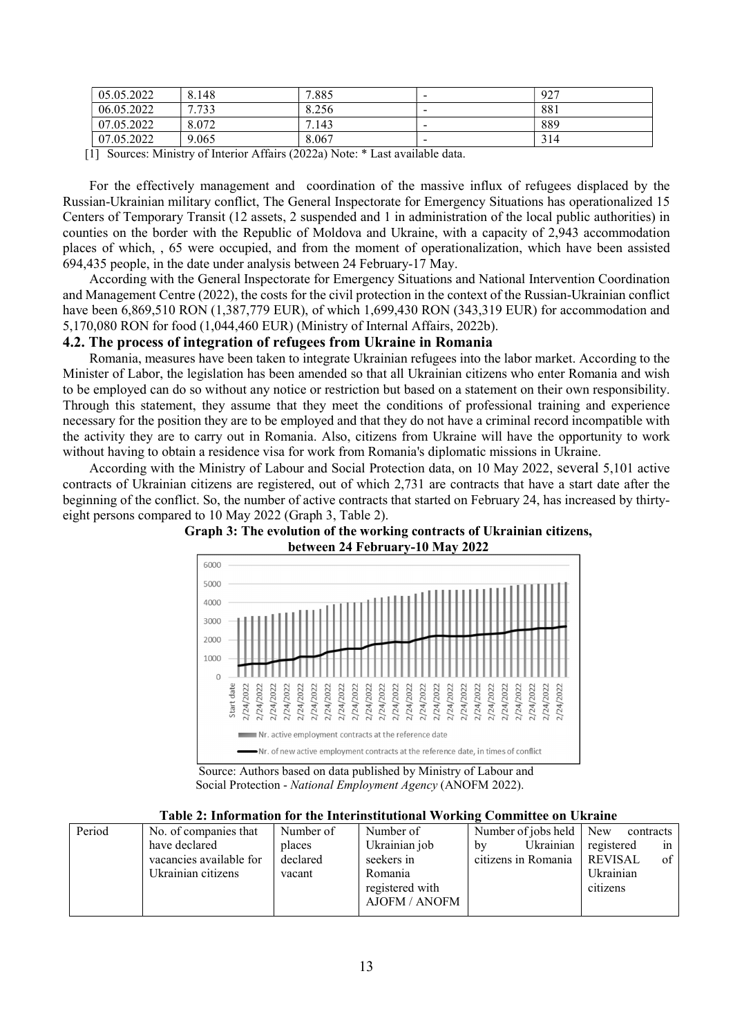| 05.05.2022 | 8.148                            | 7.885           | $\overline{\phantom{a}}$ | 927  |
|------------|----------------------------------|-----------------|--------------------------|------|
| 06.05.2022 | 722<br>$\overline{ }$<br>ر ر ، ، | 8.256           | -                        | -881 |
| 07.05.2022 | 8.072                            | $^{\prime}.143$ | -                        | 889  |
| 07.05.2022 | 9.065                            | 8.067           | -                        | 314  |

[1] Sources: Ministry of Interior Affairs (2022a) Note: \* Last available data.

For the effectively management and coordination of the massive influx of refugees displaced by the Russian-Ukrainian military conflict, The General Inspectorate for Emergency Situations has operationalized 15 Centers of Temporary Transit (12 assets, 2 suspended and 1 in administration of the local public authorities) in counties on the border with the Republic of Moldova and Ukraine, with a capacity of 2,943 accommodation places of which, , 65 were occupied, and from the moment of operationalization, which have been assisted 694,435 people, in the date under analysis between 24 February-17 May.

According with the General Inspectorate for Emergency Situations and National Intervention Coordination and Management Centre (2022), the costs for the civil protection in the context of the Russian-Ukrainian conflict have been 6,869,510 RON (1,387,779 EUR), of which 1,699,430 RON (343,319 EUR) for accommodation and 5,170,080 RON for food (1,044,460 EUR) (Ministry of Internal Affairs, 2022b).

### 4.2. The process of integration of refugees from Ukraine in Romania

Romania, measures have been taken to integrate Ukrainian refugees into the labor market. According to the Minister of Labor, the legislation has been amended so that all Ukrainian citizens who enter Romania and wish to be employed can do so without any notice or restriction but based on a statement on their own responsibility. Through this statement, they assume that they meet the conditions of professional training and experience necessary for the position they are to be employed and that they do not have a criminal record incompatible with the activity they are to carry out in Romania. Also, citizens from Ukraine will have the opportunity to work without having to obtain a residence visa for work from Romania's diplomatic missions in Ukraine.

According with the Ministry of Labour and Social Protection data, on 10 May 2022, several 5,101 active contracts of Ukrainian citizens are registered, out of which 2,731 are contracts that have a start date after the beginning of the conflict. So, the number of active contracts that started on February 24, has increased by thirtyeight persons compared to 10 May 2022 (Graph 3, Table 2).

![](_page_6_Figure_7.jpeg)

![](_page_6_Figure_8.jpeg)

 Source: Authors based on data published by Ministry of Labour and Social Protection - National Employment Agency (ANOFM 2022).

|  | Table 2: Information for the Interinstitutional Working Committee on Ukraine |  |  |  |  |  |
|--|------------------------------------------------------------------------------|--|--|--|--|--|
|--|------------------------------------------------------------------------------|--|--|--|--|--|

| Period | No. of companies that   | Number of | Number of       | Number of jobs held New | contracts                    |
|--------|-------------------------|-----------|-----------------|-------------------------|------------------------------|
|        | have declared           | places    | Ukrainian job   | by                      | Ukrainian registered<br>1n   |
|        | vacancies available for | declared  | seekers in      | citizens in Romania     | $\sigma$ f<br><b>REVISAL</b> |
|        | Ukrainian citizens      | vacant    | Romania         |                         | Ukrainian                    |
|        |                         |           | registered with |                         | citizens                     |
|        |                         |           | AJOFM / ANOFM   |                         |                              |
|        |                         |           |                 |                         |                              |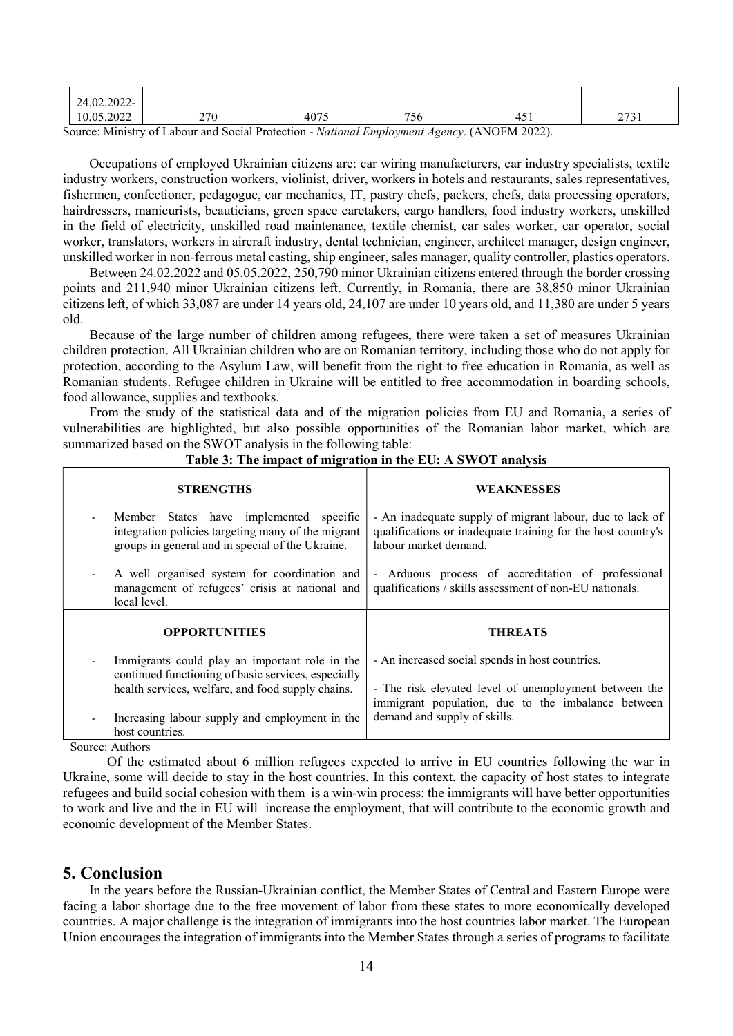| 2022. د<br>10.05              | 270 | 4075 | $\overline{\phantom{a}}$<br>' JU | ' ~ | $\sim$<br>-<br><u>. .</u> |
|-------------------------------|-----|------|----------------------------------|-----|---------------------------|
| 24.02.2022<br>$\prime$ $\sim$ |     |      |                                  |     |                           |

Source: Ministry of Labour and Social Protection - National Employment Agency. (ANOFM 2022).

Occupations of employed Ukrainian citizens are: car wiring manufacturers, car industry specialists, textile industry workers, construction workers, violinist, driver, workers in hotels and restaurants, sales representatives, fishermen, confectioner, pedagogue, car mechanics, IT, pastry chefs, packers, chefs, data processing operators, hairdressers, manicurists, beauticians, green space caretakers, cargo handlers, food industry workers, unskilled in the field of electricity, unskilled road maintenance, textile chemist, car sales worker, car operator, social worker, translators, workers in aircraft industry, dental technician, engineer, architect manager, design engineer, unskilled worker in non-ferrous metal casting, ship engineer, sales manager, quality controller, plastics operators.

Between 24.02.2022 and 05.05.2022, 250,790 minor Ukrainian citizens entered through the border crossing points and 211,940 minor Ukrainian citizens left. Currently, in Romania, there are 38,850 minor Ukrainian citizens left, of which 33,087 are under 14 years old, 24,107 are under 10 years old, and 11,380 are under 5 years old.

Because of the large number of children among refugees, there were taken a set of measures Ukrainian children protection. All Ukrainian children who are on Romanian territory, including those who do not apply for protection, according to the Asylum Law, will benefit from the right to free education in Romania, as well as Romanian students. Refugee children in Ukraine will be entitled to free accommodation in boarding schools, food allowance, supplies and textbooks.

From the study of the statistical data and of the migration policies from EU and Romania, a series of vulnerabilities are highlighted, but also possible opportunities of the Romanian labor market, which are summarized based on the SWOT analysis in the following table:

| <b>STRENGTHS</b>                                                                                                                                           | <b>WEAKNESSES</b>                                                                                                                                              |
|------------------------------------------------------------------------------------------------------------------------------------------------------------|----------------------------------------------------------------------------------------------------------------------------------------------------------------|
| Member States have implemented specific<br>integration policies targeting many of the migrant<br>groups in general and in special of the Ukraine.          | - An inadequate supply of migrant labour, due to lack of<br>qualifications or inadequate training for the host country's<br>labour market demand.              |
| A well organised system for coordination and<br>management of refugees' crisis at national and<br>local level.                                             | - Arduous process of accreditation of professional<br>qualifications / skills assessment of non-EU nationals.                                                  |
|                                                                                                                                                            |                                                                                                                                                                |
| <b>OPPORTUNITIES</b>                                                                                                                                       | <b>THREATS</b>                                                                                                                                                 |
| Immigrants could play an important role in the<br>continued functioning of basic services, especially<br>health services, welfare, and food supply chains. | - An increased social spends in host countries.<br>- The risk elevated level of unemployment between the<br>immigrant population, due to the imbalance between |

## Table 3: The impact of migration in the EU: A SWOT analysis

Source: Authors

Of the estimated about 6 million refugees expected to arrive in EU countries following the war in Ukraine, some will decide to stay in the host countries. In this context, the capacity of host states to integrate refugees and build social cohesion with them is a win-win process: the immigrants will have better opportunities to work and live and the in EU will increase the employment, that will contribute to the economic growth and economic development of the Member States.

## 5. Conclusion

In the years before the Russian-Ukrainian conflict, the Member States of Central and Eastern Europe were facing a labor shortage due to the free movement of labor from these states to more economically developed countries. A major challenge is the integration of immigrants into the host countries labor market. The European Union encourages the integration of immigrants into the Member States through a series of programs to facilitate